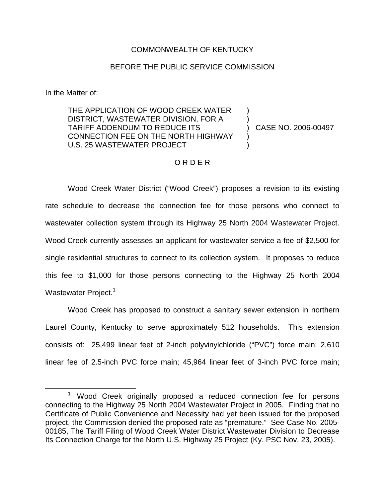#### COMMONWEALTH OF KENTUCKY

### BEFORE THE PUBLIC SERVICE COMMISSION

In the Matter of:

THE APPLICATION OF WOOD CREEK WATER DISTRICT, WASTEWATER DIVISION, FOR A TARIFF ADDENDUM TO REDUCE ITS CONNECTION FEE ON THE NORTH HIGHWAY U.S. 25 WASTEWATER PROJECT

) CASE NO. 2006-00497

) )

) )

### O R D E R

Wood Creek Water District ("Wood Creek") proposes a revision to its existing rate schedule to decrease the connection fee for those persons who connect to wastewater collection system through its Highway 25 North 2004 Wastewater Project. Wood Creek currently assesses an applicant for wastewater service a fee of \$2,500 for single residential structures to connect to its collection system. It proposes to reduce this fee to \$1,000 for those persons connecting to the Highway 25 North 2004 Wastewater Project.<sup>1</sup>

Wood Creek has proposed to construct a sanitary sewer extension in northern Laurel County, Kentucky to serve approximately 512 households. This extension consists of: 25,499 linear feet of 2-inch polyvinylchloride ("PVC") force main; 2,610 linear fee of 2.5-inch PVC force main; 45,964 linear feet of 3-inch PVC force main;

<sup>&</sup>lt;sup>1</sup> Wood Creek originally proposed a reduced connection fee for persons connecting to the Highway 25 North 2004 Wastewater Project in 2005. Finding that no Certificate of Public Convenience and Necessity had yet been issued for the proposed project, the Commission denied the proposed rate as "premature." See Case No. 2005- 00185, The Tariff Filing of Wood Creek Water District Wastewater Division to Decrease Its Connection Charge for the North U.S. Highway 25 Project (Ky. PSC Nov. 23, 2005).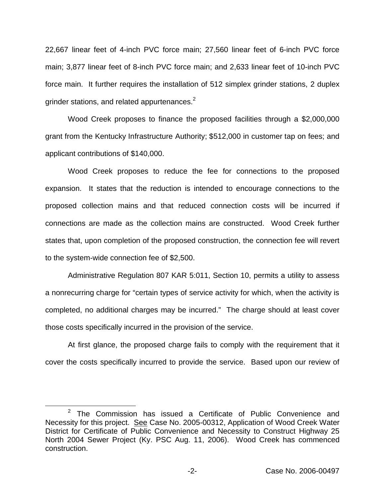22,667 linear feet of 4-inch PVC force main; 27,560 linear feet of 6-inch PVC force main; 3,877 linear feet of 8-inch PVC force main; and 2,633 linear feet of 10-inch PVC force main. It further requires the installation of 512 simplex grinder stations, 2 duplex grinder stations, and related appurtenances.<sup>2</sup>

Wood Creek proposes to finance the proposed facilities through a \$2,000,000 grant from the Kentucky Infrastructure Authority; \$512,000 in customer tap on fees; and applicant contributions of \$140,000.

Wood Creek proposes to reduce the fee for connections to the proposed expansion. It states that the reduction is intended to encourage connections to the proposed collection mains and that reduced connection costs will be incurred if connections are made as the collection mains are constructed. Wood Creek further states that, upon completion of the proposed construction, the connection fee will revert to the system-wide connection fee of \$2,500.

Administrative Regulation 807 KAR 5:011, Section 10, permits a utility to assess a nonrecurring charge for "certain types of service activity for which, when the activity is completed, no additional charges may be incurred." The charge should at least cover those costs specifically incurred in the provision of the service.

At first glance, the proposed charge fails to comply with the requirement that it cover the costs specifically incurred to provide the service. Based upon our review of

 $2$  The Commission has issued a Certificate of Public Convenience and Necessity for this project. See Case No. 2005-00312, Application of Wood Creek Water District for Certificate of Public Convenience and Necessity to Construct Highway 25 North 2004 Sewer Project (Ky. PSC Aug. 11, 2006). Wood Creek has commenced construction.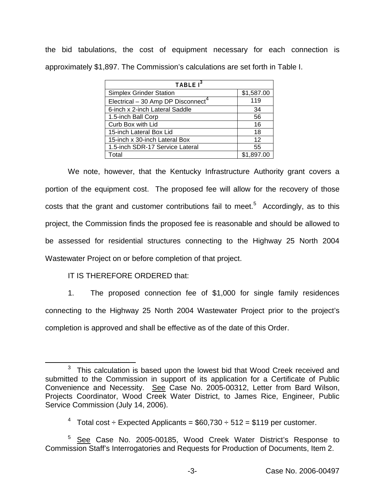the bid tabulations, the cost of equipment necessary for each connection is approximately \$1,897. The Commission's calculations are set forth in Table I.

| TABLE I <sup>3</sup>              |            |
|-----------------------------------|------------|
| <b>Simplex Grinder Station</b>    | \$1,587.00 |
| Electrical - 30 Amp DP Disconnect | 119        |
| 6-inch x 2-inch Lateral Saddle    | 34         |
| 1.5-inch Ball Corp                | 56         |
| Curb Box with Lid                 | 16         |
| 15-inch Lateral Box Lid           | 18         |
| 15-inch x 30-inch Lateral Box     | 12         |
| 1.5-inch SDR-17 Service Lateral   | 55         |
| Total                             | \$1.897.00 |

We note, however, that the Kentucky Infrastructure Authority grant covers a portion of the equipment cost. The proposed fee will allow for the recovery of those costs that the grant and customer contributions fail to meet.<sup>5</sup> Accordingly, as to this project, the Commission finds the proposed fee is reasonable and should be allowed to be assessed for residential structures connecting to the Highway 25 North 2004 Wastewater Project on or before completion of that project.

# IT IS THEREFORE ORDERED that:

1. The proposed connection fee of \$1,000 for single family residences connecting to the Highway 25 North 2004 Wastewater Project prior to the project's completion is approved and shall be effective as of the date of this Order.

 $3$  This calculation is based upon the lowest bid that Wood Creek received and submitted to the Commission in support of its application for a Certificate of Public Convenience and Necessity. See Case No. 2005-00312, Letter from Bard Wilson, Projects Coordinator, Wood Creek Water District, to James Rice, Engineer, Public Service Commission (July 14, 2006).

<sup>&</sup>lt;sup>4</sup> Total cost  $\div$  Expected Applicants = \$60,730  $\div$  512 = \$119 per customer.

<sup>5</sup> See Case No. 2005-00185, Wood Creek Water District's Response to Commission Staff's Interrogatories and Requests for Production of Documents, Item 2.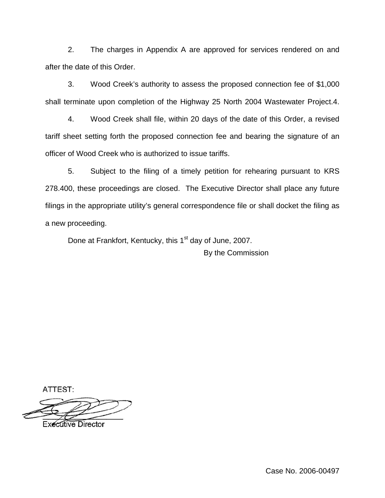2. The charges in Appendix A are approved for services rendered on and after the date of this Order.

3. Wood Creek's authority to assess the proposed connection fee of \$1,000 shall terminate upon completion of the Highway 25 North 2004 Wastewater Project.4.

4. Wood Creek shall file, within 20 days of the date of this Order, a revised tariff sheet setting forth the proposed connection fee and bearing the signature of an officer of Wood Creek who is authorized to issue tariffs.

5. Subject to the filing of a timely petition for rehearing pursuant to KRS 278.400, these proceedings are closed. The Executive Director shall place any future filings in the appropriate utility's general correspondence file or shall docket the filing as a new proceeding.

Done at Frankfort, Kentucky, this 1<sup>st</sup> day of June, 2007. By the Commission

ATTEST:

**Executive Director** 

Case No. 2006-00497